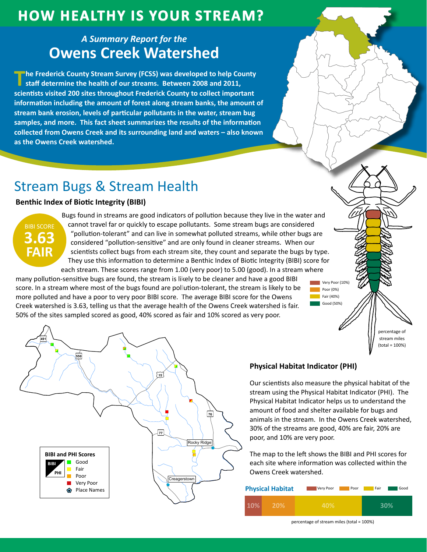## **How HealtHy is Your Stream?**

### *A Summary Report for the* **Owens Creek Watershed**

**The Frederick County Stream Survey (FCSS) was developed to help County staff determine the health of our streams. Between 2008 and 2011, scientists visited 200 sites throughout Frederick County to collect important information including the amount of forest along stream banks, the amount of stream bank erosion, levels of particular pollutants in the water, stream bug samples, and more. This fact sheet summarizes the results of the information collected from Owens Creek and its surrounding land and waters – also known as the Owens Creek watershed.**

# Stream Bugs & Stream Health

### **Benthic Index of Biotic Integrity (BIBI)**



Bugs found in streams are good indicators of pollution because they live in the water and cannot travel far or quickly to escape pollutants. Some stream bugs are considered "pollution-tolerant" and can live in somewhat polluted streams, while other bugs are considered "pollution-sensitive" and are only found in cleaner streams. When our scientists collect bugs from each stream site, they count and separate the bugs by type. They use this information to determine a Benthic Index of Biotic Integrity (BIBI) score for each stream. These scores range from 1.00 (very poor) to 5.00 (good). In a stream where

many pollution-sensitive bugs are found, the stream is likely to be cleaner and have a good BIBI score. In a stream where most of the bugs found are pollution-tolerant, the stream is likely to be more polluted and have a poor to very poor BIBI score. The average BIBI score for the Owens Creek watershed is 3.63, telling us that the average health of the Owens Creek watershed is fair. 50% of the sites sampled scored as good, 40% scored as fair and 10% scored as very poor.



### **Physical Habitat Indicator (PHI)**

Our scientists also measure the physical habitat of the stream using the Physical Habitat Indicator (PHI). The Physical Habitat Indicator helps us to understand the amount of food and shelter available for bugs and animals in the stream. In the Owens Creek watershed, 30% of the streams are good, 40% are fair, 20% are poor, and 10% are very poor.

Very Poor (10%) Poor (0%) Fair (40%) Good (50%)

> percentage of stream miles (total = 100%)

The map to the left shows the BIBI and PHI scores for each site where information was collected within the Owens Creek watershed.

| <b>Physical Habitat</b> | Very Poor<br>Poor | Good<br>Fair |
|-------------------------|-------------------|--------------|
| 10%<br>20%              | 40%               | 30%          |

percentage of stream miles (total = 100%)